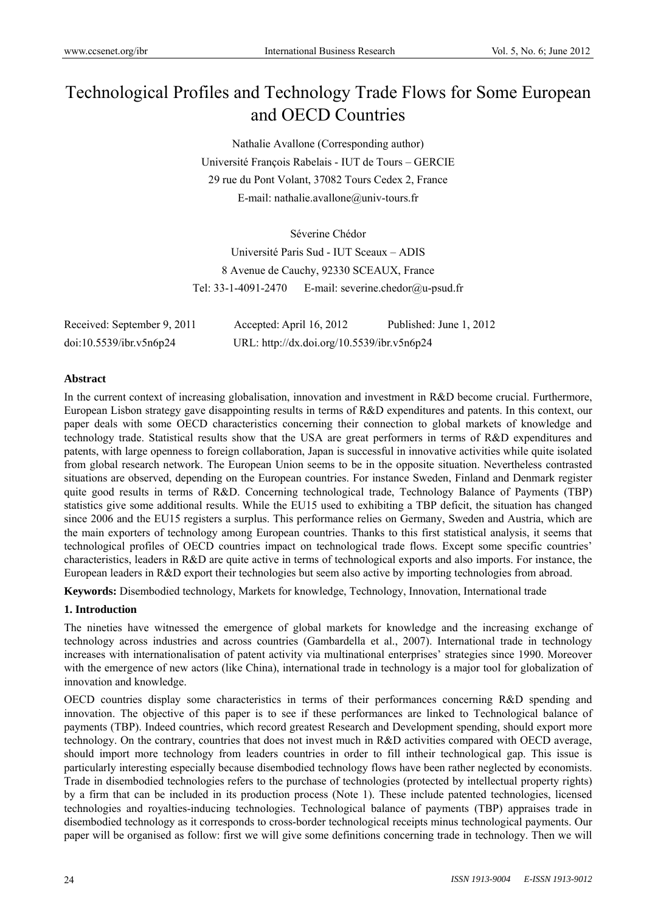# Technological Profiles and Technology Trade Flows for Some European and OECD Countries

Nathalie Avallone (Corresponding author) Université François Rabelais - IUT de Tours – GERCIE 29 rue du Pont Volant, 37082 Tours Cedex 2, France E-mail: nathalie.avallone@univ-tours.fr

Séverine Chédor Université Paris Sud - IUT Sceaux – ADIS 8 Avenue de Cauchy, 92330 SCEAUX, France Tel: 33-1-4091-2470 E-mail: severine.chedor@u-psud.fr

Received: September 9, 2011 Accepted: April 16, 2012 Published: June 1, 2012 doi:10.5539/ibr.v5n6p24 URL: http://dx.doi.org/10.5539/ibr.v5n6p24

#### **Abstract**

In the current context of increasing globalisation, innovation and investment in R&D become crucial. Furthermore, European Lisbon strategy gave disappointing results in terms of R&D expenditures and patents. In this context, our paper deals with some OECD characteristics concerning their connection to global markets of knowledge and technology trade. Statistical results show that the USA are great performers in terms of R&D expenditures and patents, with large openness to foreign collaboration, Japan is successful in innovative activities while quite isolated from global research network. The European Union seems to be in the opposite situation. Nevertheless contrasted situations are observed, depending on the European countries. For instance Sweden, Finland and Denmark register quite good results in terms of R&D. Concerning technological trade, Technology Balance of Payments (TBP) statistics give some additional results. While the EU15 used to exhibiting a TBP deficit, the situation has changed since 2006 and the EU15 registers a surplus. This performance relies on Germany, Sweden and Austria, which are the main exporters of technology among European countries. Thanks to this first statistical analysis, it seems that technological profiles of OECD countries impact on technological trade flows. Except some specific countries' characteristics, leaders in R&D are quite active in terms of technological exports and also imports. For instance, the European leaders in R&D export their technologies but seem also active by importing technologies from abroad.

**Keywords:** Disembodied technology, Markets for knowledge, Technology, Innovation, International trade

#### **1. Introduction**

The nineties have witnessed the emergence of global markets for knowledge and the increasing exchange of technology across industries and across countries (Gambardella et al., 2007). International trade in technology increases with internationalisation of patent activity via multinational enterprises' strategies since 1990. Moreover with the emergence of new actors (like China), international trade in technology is a major tool for globalization of innovation and knowledge.

OECD countries display some characteristics in terms of their performances concerning R&D spending and innovation. The objective of this paper is to see if these performances are linked to Technological balance of payments (TBP). Indeed countries, which record greatest Research and Development spending, should export more technology. On the contrary, countries that does not invest much in R&D activities compared with OECD average, should import more technology from leaders countries in order to fill intheir technological gap. This issue is particularly interesting especially because disembodied technology flows have been rather neglected by economists. Trade in disembodied technologies refers to the purchase of technologies (protected by intellectual property rights) by a firm that can be included in its production process (Note 1). These include patented technologies, licensed technologies and royalties-inducing technologies. Technological balance of payments (TBP) appraises trade in disembodied technology as it corresponds to cross-border technological receipts minus technological payments. Our paper will be organised as follow: first we will give some definitions concerning trade in technology. Then we will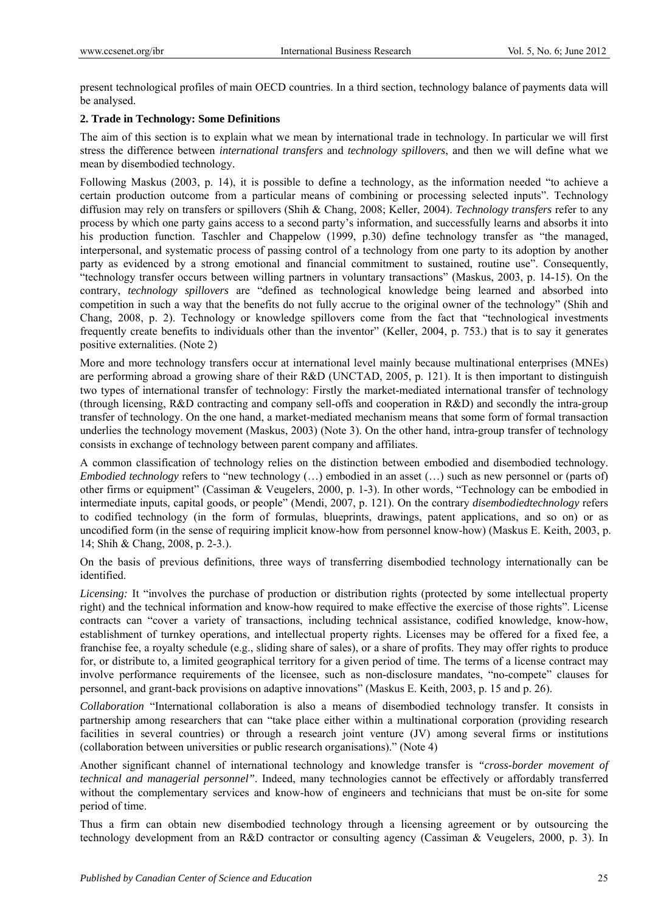present technological profiles of main OECD countries. In a third section, technology balance of payments data will be analysed.

# **2. Trade in Technology: Some Definitions**

The aim of this section is to explain what we mean by international trade in technology. In particular we will first stress the difference between *international transfers* and *technology spillovers*, and then we will define what we mean by disembodied technology.

Following Maskus (2003, p. 14), it is possible to define a technology, as the information needed "to achieve a certain production outcome from a particular means of combining or processing selected inputs". Technology diffusion may rely on transfers or spillovers (Shih & Chang, 2008; Keller, 2004). *Technology transfers* refer to any process by which one party gains access to a second party's information, and successfully learns and absorbs it into his production function. Taschler and Chappelow (1999, p.30) define technology transfer as "the managed, interpersonal, and systematic process of passing control of a technology from one party to its adoption by another party as evidenced by a strong emotional and financial commitment to sustained, routine use". Consequently, "technology transfer occurs between willing partners in voluntary transactions" (Maskus, 2003, p. 14-15). On the contrary, *technology spillovers* are "defined as technological knowledge being learned and absorbed into competition in such a way that the benefits do not fully accrue to the original owner of the technology" (Shih and Chang, 2008, p. 2). Technology or knowledge spillovers come from the fact that "technological investments frequently create benefits to individuals other than the inventor" (Keller, 2004, p. 753.) that is to say it generates positive externalities. (Note 2)

More and more technology transfers occur at international level mainly because multinational enterprises (MNEs) are performing abroad a growing share of their R&D (UNCTAD, 2005, p. 121). It is then important to distinguish two types of international transfer of technology: Firstly the market-mediated international transfer of technology (through licensing, R&D contracting and company sell-offs and cooperation in R&D) and secondly the intra-group transfer of technology. On the one hand, a market-mediated mechanism means that some form of formal transaction underlies the technology movement (Maskus, 2003) (Note 3). On the other hand, intra-group transfer of technology consists in exchange of technology between parent company and affiliates.

A common classification of technology relies on the distinction between embodied and disembodied technology. *Embodied technology* refers to "new technology (...) embodied in an asset (...) such as new personnel or (parts of) other firms or equipment" (Cassiman & Veugelers, 2000, p. 1-3). In other words, "Technology can be embodied in intermediate inputs, capital goods, or people" (Mendi, 2007, p. 121). On the contrary *disembodiedtechnology* refers to codified technology (in the form of formulas, blueprints, drawings, patent applications, and so on) or as uncodified form (in the sense of requiring implicit know-how from personnel know-how) (Maskus E. Keith, 2003, p. 14; Shih & Chang, 2008, p. 2-3.).

On the basis of previous definitions, three ways of transferring disembodied technology internationally can be identified.

*Licensing:* It "involves the purchase of production or distribution rights (protected by some intellectual property right) and the technical information and know-how required to make effective the exercise of those rights". License contracts can "cover a variety of transactions, including technical assistance, codified knowledge, know-how, establishment of turnkey operations, and intellectual property rights. Licenses may be offered for a fixed fee, a franchise fee, a royalty schedule (e.g., sliding share of sales), or a share of profits. They may offer rights to produce for, or distribute to, a limited geographical territory for a given period of time. The terms of a license contract may involve performance requirements of the licensee, such as non-disclosure mandates, "no-compete" clauses for personnel, and grant-back provisions on adaptive innovations" (Maskus E. Keith, 2003, p. 15 and p. 26).

*Collaboration* "International collaboration is also a means of disembodied technology transfer. It consists in partnership among researchers that can "take place either within a multinational corporation (providing research facilities in several countries) or through a research joint venture (JV) among several firms or institutions (collaboration between universities or public research organisations)." (Note 4)

Another significant channel of international technology and knowledge transfer is *"cross-border movement of technical and managerial personnel"*. Indeed, many technologies cannot be effectively or affordably transferred without the complementary services and know-how of engineers and technicians that must be on-site for some period of time.

Thus a firm can obtain new disembodied technology through a licensing agreement or by outsourcing the technology development from an R&D contractor or consulting agency (Cassiman & Veugelers, 2000, p. 3). In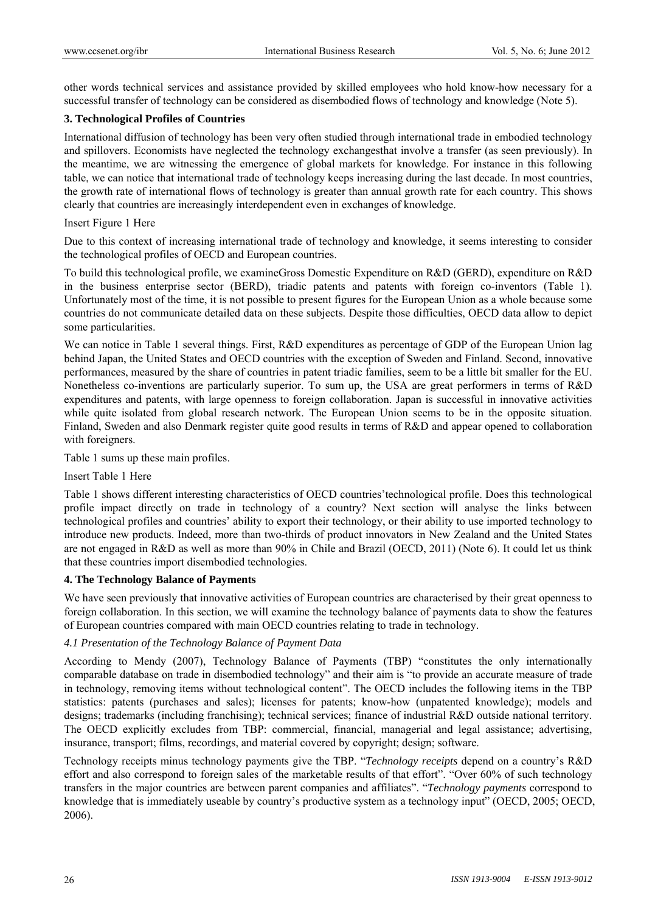other words technical services and assistance provided by skilled employees who hold know-how necessary for a successful transfer of technology can be considered as disembodied flows of technology and knowledge (Note 5).

# **3. Technological Profiles of Countries**

International diffusion of technology has been very often studied through international trade in embodied technology and spillovers. Economists have neglected the technology exchangesthat involve a transfer (as seen previously). In the meantime, we are witnessing the emergence of global markets for knowledge. For instance in this following table, we can notice that international trade of technology keeps increasing during the last decade. In most countries, the growth rate of international flows of technology is greater than annual growth rate for each country. This shows clearly that countries are increasingly interdependent even in exchanges of knowledge.

## Insert Figure 1 Here

Due to this context of increasing international trade of technology and knowledge, it seems interesting to consider the technological profiles of OECD and European countries.

To build this technological profile, we examineGross Domestic Expenditure on R&D (GERD), expenditure on R&D in the business enterprise sector (BERD), triadic patents and patents with foreign co-inventors (Table 1). Unfortunately most of the time, it is not possible to present figures for the European Union as a whole because some countries do not communicate detailed data on these subjects. Despite those difficulties, OECD data allow to depict some particularities.

We can notice in Table 1 several things. First, R&D expenditures as percentage of GDP of the European Union lag behind Japan, the United States and OECD countries with the exception of Sweden and Finland. Second, innovative performances, measured by the share of countries in patent triadic families, seem to be a little bit smaller for the EU. Nonetheless co-inventions are particularly superior. To sum up, the USA are great performers in terms of R&D expenditures and patents, with large openness to foreign collaboration. Japan is successful in innovative activities while quite isolated from global research network. The European Union seems to be in the opposite situation. Finland, Sweden and also Denmark register quite good results in terms of R&D and appear opened to collaboration with foreigners.

Table 1 sums up these main profiles.

Insert Table 1 Here

Table 1 shows different interesting characteristics of OECD countries'technological profile. Does this technological profile impact directly on trade in technology of a country? Next section will analyse the links between technological profiles and countries' ability to export their technology, or their ability to use imported technology to introduce new products. Indeed, more than two-thirds of product innovators in New Zealand and the United States are not engaged in R&D as well as more than 90% in Chile and Brazil (OECD, 2011) (Note 6). It could let us think that these countries import disembodied technologies.

#### **4. The Technology Balance of Payments**

We have seen previously that innovative activities of European countries are characterised by their great openness to foreign collaboration. In this section, we will examine the technology balance of payments data to show the features of European countries compared with main OECD countries relating to trade in technology.

#### *4.1 Presentation of the Technology Balance of Payment Data*

According to Mendy (2007), Technology Balance of Payments (TBP) "constitutes the only internationally comparable database on trade in disembodied technology" and their aim is "to provide an accurate measure of trade in technology, removing items without technological content". The OECD includes the following items in the TBP statistics: patents (purchases and sales); licenses for patents; know-how (unpatented knowledge); models and designs; trademarks (including franchising); technical services; finance of industrial R&D outside national territory. The OECD explicitly excludes from TBP: commercial, financial, managerial and legal assistance; advertising, insurance, transport; films, recordings, and material covered by copyright; design; software.

Technology receipts minus technology payments give the TBP. "*Technology receipts* depend on a country's R&D effort and also correspond to foreign sales of the marketable results of that effort". "Over 60% of such technology transfers in the major countries are between parent companies and affiliates". "*Technology payments* correspond to knowledge that is immediately useable by country's productive system as a technology input" (OECD, 2005; OECD, 2006).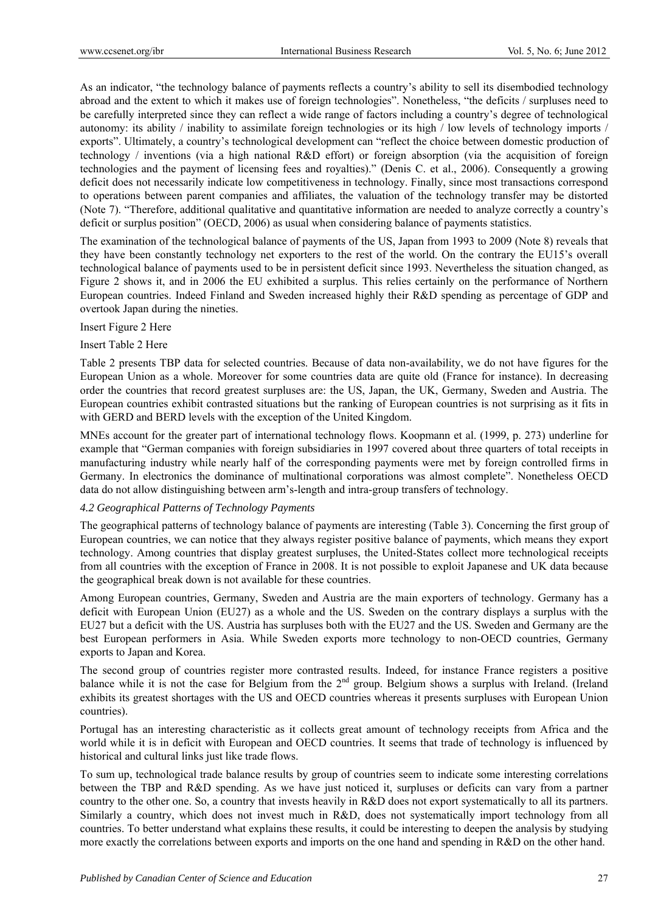As an indicator, "the technology balance of payments reflects a country's ability to sell its disembodied technology abroad and the extent to which it makes use of foreign technologies". Nonetheless, "the deficits / surpluses need to be carefully interpreted since they can reflect a wide range of factors including a country's degree of technological autonomy: its ability / inability to assimilate foreign technologies or its high / low levels of technology imports / exports". Ultimately, a country's technological development can "reflect the choice between domestic production of technology / inventions (via a high national R&D effort) or foreign absorption (via the acquisition of foreign technologies and the payment of licensing fees and royalties)." (Denis C. et al., 2006). Consequently a growing deficit does not necessarily indicate low competitiveness in technology. Finally, since most transactions correspond to operations between parent companies and affiliates, the valuation of the technology transfer may be distorted (Note 7). "Therefore, additional qualitative and quantitative information are needed to analyze correctly a country's deficit or surplus position" (OECD, 2006) as usual when considering balance of payments statistics.

The examination of the technological balance of payments of the US, Japan from 1993 to 2009 (Note 8) reveals that they have been constantly technology net exporters to the rest of the world. On the contrary the EU15's overall technological balance of payments used to be in persistent deficit since 1993. Nevertheless the situation changed, as Figure 2 shows it, and in 2006 the EU exhibited a surplus. This relies certainly on the performance of Northern European countries. Indeed Finland and Sweden increased highly their R&D spending as percentage of GDP and overtook Japan during the nineties.

# Insert Figure 2 Here

#### Insert Table 2 Here

Table 2 presents TBP data for selected countries. Because of data non-availability, we do not have figures for the European Union as a whole. Moreover for some countries data are quite old (France for instance). In decreasing order the countries that record greatest surpluses are: the US, Japan, the UK, Germany, Sweden and Austria. The European countries exhibit contrasted situations but the ranking of European countries is not surprising as it fits in with GERD and BERD levels with the exception of the United Kingdom.

MNEs account for the greater part of international technology flows. Koopmann et al. (1999, p. 273) underline for example that "German companies with foreign subsidiaries in 1997 covered about three quarters of total receipts in manufacturing industry while nearly half of the corresponding payments were met by foreign controlled firms in Germany. In electronics the dominance of multinational corporations was almost complete". Nonetheless OECD data do not allow distinguishing between arm's-length and intra-group transfers of technology.

#### *4.2 Geographical Patterns of Technology Payments*

The geographical patterns of technology balance of payments are interesting (Table 3). Concerning the first group of European countries, we can notice that they always register positive balance of payments, which means they export technology. Among countries that display greatest surpluses, the United-States collect more technological receipts from all countries with the exception of France in 2008. It is not possible to exploit Japanese and UK data because the geographical break down is not available for these countries.

Among European countries, Germany, Sweden and Austria are the main exporters of technology. Germany has a deficit with European Union (EU27) as a whole and the US. Sweden on the contrary displays a surplus with the EU27 but a deficit with the US. Austria has surpluses both with the EU27 and the US. Sweden and Germany are the best European performers in Asia. While Sweden exports more technology to non-OECD countries, Germany exports to Japan and Korea.

The second group of countries register more contrasted results. Indeed, for instance France registers a positive balance while it is not the case for Belgium from the  $2<sup>nd</sup>$  group. Belgium shows a surplus with Ireland. (Ireland exhibits its greatest shortages with the US and OECD countries whereas it presents surpluses with European Union countries).

Portugal has an interesting characteristic as it collects great amount of technology receipts from Africa and the world while it is in deficit with European and OECD countries. It seems that trade of technology is influenced by historical and cultural links just like trade flows.

To sum up, technological trade balance results by group of countries seem to indicate some interesting correlations between the TBP and R&D spending. As we have just noticed it, surpluses or deficits can vary from a partner country to the other one. So, a country that invests heavily in R&D does not export systematically to all its partners. Similarly a country, which does not invest much in R&D, does not systematically import technology from all countries. To better understand what explains these results, it could be interesting to deepen the analysis by studying more exactly the correlations between exports and imports on the one hand and spending in R&D on the other hand.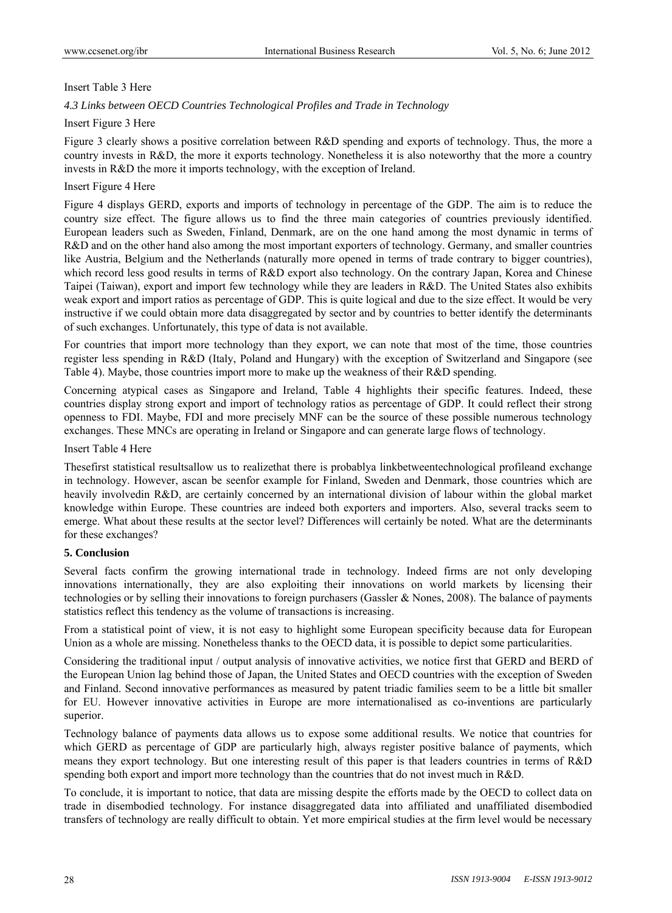## Insert Table 3 Here

*4.3 Links between OECD Countries Technological Profiles and Trade in Technology* 

#### Insert Figure 3 Here

Figure 3 clearly shows a positive correlation between R&D spending and exports of technology. Thus, the more a country invests in R&D, the more it exports technology. Nonetheless it is also noteworthy that the more a country invests in R&D the more it imports technology, with the exception of Ireland.

#### Insert Figure 4 Here

Figure 4 displays GERD, exports and imports of technology in percentage of the GDP. The aim is to reduce the country size effect. The figure allows us to find the three main categories of countries previously identified. European leaders such as Sweden, Finland, Denmark, are on the one hand among the most dynamic in terms of R&D and on the other hand also among the most important exporters of technology. Germany, and smaller countries like Austria, Belgium and the Netherlands (naturally more opened in terms of trade contrary to bigger countries), which record less good results in terms of R&D export also technology. On the contrary Japan, Korea and Chinese Taipei (Taiwan), export and import few technology while they are leaders in R&D. The United States also exhibits weak export and import ratios as percentage of GDP. This is quite logical and due to the size effect. It would be very instructive if we could obtain more data disaggregated by sector and by countries to better identify the determinants of such exchanges. Unfortunately, this type of data is not available.

For countries that import more technology than they export, we can note that most of the time, those countries register less spending in R&D (Italy, Poland and Hungary) with the exception of Switzerland and Singapore (see Table 4). Maybe, those countries import more to make up the weakness of their R&D spending.

Concerning atypical cases as Singapore and Ireland, Table 4 highlights their specific features. Indeed, these countries display strong export and import of technology ratios as percentage of GDP. It could reflect their strong openness to FDI. Maybe, FDI and more precisely MNF can be the source of these possible numerous technology exchanges. These MNCs are operating in Ireland or Singapore and can generate large flows of technology.

## Insert Table 4 Here

Thesefirst statistical resultsallow us to realizethat there is probablya linkbetweentechnological profileand exchange in technology. However, ascan be seenfor example for Finland, Sweden and Denmark, those countries which are heavily involvedin R&D, are certainly concerned by an international division of labour within the global market knowledge within Europe. These countries are indeed both exporters and importers. Also, several tracks seem to emerge. What about these results at the sector level? Differences will certainly be noted. What are the determinants for these exchanges?

#### **5. Conclusion**

Several facts confirm the growing international trade in technology. Indeed firms are not only developing innovations internationally, they are also exploiting their innovations on world markets by licensing their technologies or by selling their innovations to foreign purchasers (Gassler & Nones, 2008). The balance of payments statistics reflect this tendency as the volume of transactions is increasing.

From a statistical point of view, it is not easy to highlight some European specificity because data for European Union as a whole are missing. Nonetheless thanks to the OECD data, it is possible to depict some particularities.

Considering the traditional input / output analysis of innovative activities, we notice first that GERD and BERD of the European Union lag behind those of Japan, the United States and OECD countries with the exception of Sweden and Finland. Second innovative performances as measured by patent triadic families seem to be a little bit smaller for EU. However innovative activities in Europe are more internationalised as co-inventions are particularly superior.

Technology balance of payments data allows us to expose some additional results. We notice that countries for which GERD as percentage of GDP are particularly high, always register positive balance of payments, which means they export technology. But one interesting result of this paper is that leaders countries in terms of R&D spending both export and import more technology than the countries that do not invest much in R&D.

To conclude, it is important to notice, that data are missing despite the efforts made by the OECD to collect data on trade in disembodied technology. For instance disaggregated data into affiliated and unaffiliated disembodied transfers of technology are really difficult to obtain. Yet more empirical studies at the firm level would be necessary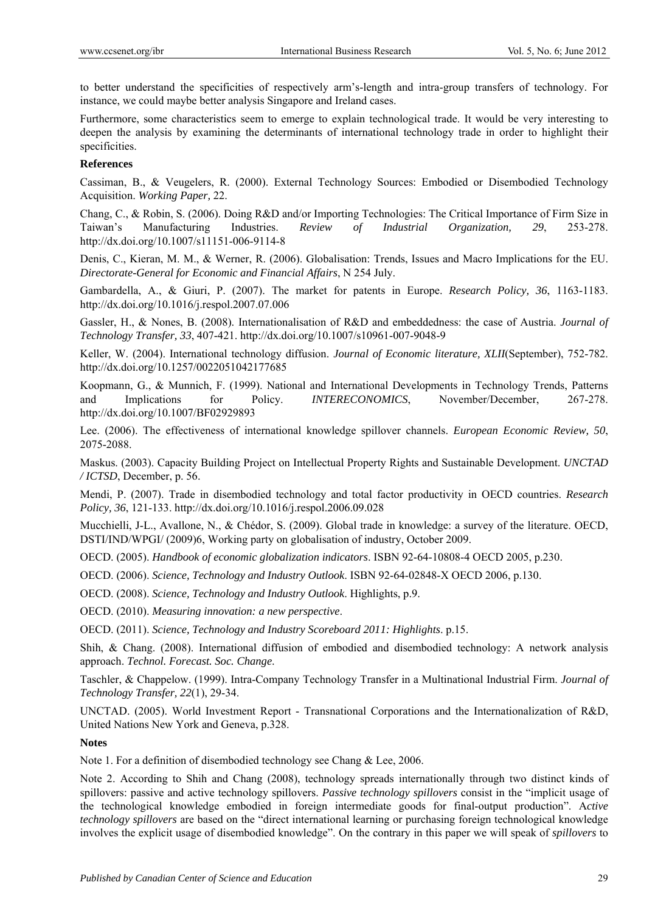to better understand the specificities of respectively arm's-length and intra-group transfers of technology. For instance, we could maybe better analysis Singapore and Ireland cases.

Furthermore, some characteristics seem to emerge to explain technological trade. It would be very interesting to deepen the analysis by examining the determinants of international technology trade in order to highlight their specificities.

#### **References**

Cassiman, B., & Veugelers, R. (2000). External Technology Sources: Embodied or Disembodied Technology Acquisition. *Working Paper,* 22.

Chang, C., & Robin, S. (2006). Doing R&D and/or Importing Technologies: The Critical Importance of Firm Size in Taiwan's Manufacturing Industries. *Review of Industrial Organization, 29*, 253-278. http://dx.doi.org/10.1007/s11151-006-9114-8

Denis, C., Kieran, M. M., & Werner, R. (2006). Globalisation: Trends, Issues and Macro Implications for the EU. *Directorate-General for Economic and Financial Affairs*, N 254 July.

Gambardella, A., & Giuri, P. (2007). The market for patents in Europe. *Research Policy, 36*, 1163-1183. http://dx.doi.org/10.1016/j.respol.2007.07.006

Gassler, H., & Nones, B. (2008). Internationalisation of R&D and embeddedness: the case of Austria. *Journal of Technology Transfer, 33*, 407-421. http://dx.doi.org/10.1007/s10961-007-9048-9

Keller, W. (2004). International technology diffusion. *Journal of Economic literature, XLII*(September), 752-782. http://dx.doi.org/10.1257/0022051042177685

Koopmann, G., & Munnich, F. (1999). National and International Developments in Technology Trends, Patterns and Implications for Policy. *INTERECONOMICS*, November/December, 267-278. http://dx.doi.org/10.1007/BF02929893

Lee. (2006). The effectiveness of international knowledge spillover channels. *European Economic Review, 50*, 2075-2088.

Maskus. (2003). Capacity Building Project on Intellectual Property Rights and Sustainable Development. *UNCTAD / ICTSD*, December, p. 56.

Mendi, P. (2007). Trade in disembodied technology and total factor productivity in OECD countries. *Research Policy, 36*, 121-133. http://dx.doi.org/10.1016/j.respol.2006.09.028

Mucchielli, J-L., Avallone, N., & Chédor, S. (2009). Global trade in knowledge: a survey of the literature. OECD, DSTI/IND/WPGI/ (2009)6, Working party on globalisation of industry, October 2009.

OECD. (2005). *Handbook of economic globalization indicators*. ISBN 92-64-10808-4 OECD 2005, p.230.

OECD. (2006). *Science, Technology and Industry Outlook*. ISBN 92-64-02848-X OECD 2006, p.130.

OECD. (2008). *Science, Technology and Industry Outlook*. Highlights, p.9.

OECD. (2010). *Measuring innovation: a new perspective*.

OECD. (2011). *Science, Technology and Industry Scoreboard 2011: Highlights*. p.15.

Shih, & Chang. (2008). International diffusion of embodied and disembodied technology: A network analysis approach. *Technol. Forecast. Soc. Change*.

Taschler, & Chappelow. (1999). Intra-Company Technology Transfer in a Multinational Industrial Firm. *Journal of Technology Transfer, 22*(1), 29-34.

UNCTAD. (2005). World Investment Report - Transnational Corporations and the Internationalization of R&D, United Nations New York and Geneva, p.328.

### **Notes**

Note 1. For a definition of disembodied technology see Chang & Lee, 2006.

Note 2. According to Shih and Chang (2008), technology spreads internationally through two distinct kinds of spillovers: passive and active technology spillovers. *Passive technology spillovers* consist in the "implicit usage of the technological knowledge embodied in foreign intermediate goods for final-output production". A*ctive technology spillovers* are based on the "direct international learning or purchasing foreign technological knowledge involves the explicit usage of disembodied knowledge". On the contrary in this paper we will speak of *spillovers* to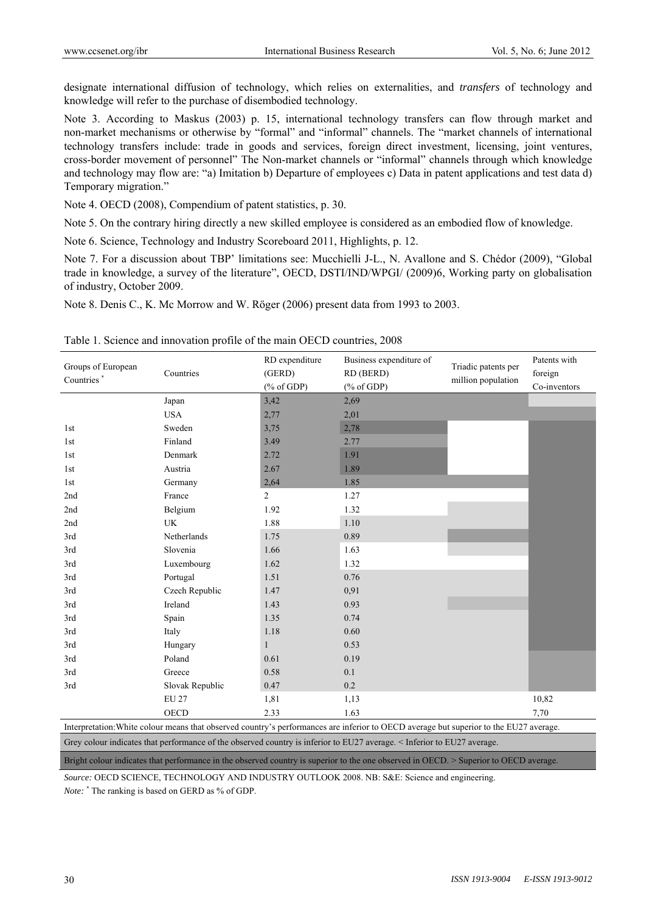designate international diffusion of technology, which relies on externalities, and *transfers* of technology and knowledge will refer to the purchase of disembodied technology.

Note 3. According to Maskus (2003) p. 15, international technology transfers can flow through market and non-market mechanisms or otherwise by "formal" and "informal" channels. The "market channels of international technology transfers include: trade in goods and services, foreign direct investment, licensing, joint ventures, cross-border movement of personnel" The Non-market channels or "informal" channels through which knowledge and technology may flow are: "a) Imitation b) Departure of employees c) Data in patent applications and test data d) Temporary migration."

Note 4. OECD (2008), Compendium of patent statistics, p. 30.

Note 5. On the contrary hiring directly a new skilled employee is considered as an embodied flow of knowledge.

Note 6. Science, Technology and Industry Scoreboard 2011, Highlights, p. 12.

Note 7. For a discussion about TBP' limitations see: Mucchielli J-L., N. Avallone and S. Chédor (2009), "Global trade in knowledge, a survey of the literature", OECD, DSTI/IND/WPGI/ (2009)6, Working party on globalisation of industry, October 2009.

Note 8. Denis C., K. Mc Morrow and W. Röger (2006) present data from 1993 to 2003.

| Groups of European<br>Countries <sup>*</sup>                                                                            | Countries       | RD expenditure<br>(GERD) | Business expenditure of<br>RD (BERD)                                                                                                   | Triadic patents per<br>million population | Patents with<br>foreign |  |
|-------------------------------------------------------------------------------------------------------------------------|-----------------|--------------------------|----------------------------------------------------------------------------------------------------------------------------------------|-------------------------------------------|-------------------------|--|
|                                                                                                                         |                 | $(\%$ of GDP)            | $(\%$ of GDP)                                                                                                                          |                                           | Co-inventors            |  |
|                                                                                                                         | Japan           | 3,42                     | 2,69                                                                                                                                   |                                           |                         |  |
|                                                                                                                         | <b>USA</b>      | 2,77                     | 2,01                                                                                                                                   |                                           |                         |  |
| 1st                                                                                                                     | Sweden          | 3,75                     | 2,78                                                                                                                                   |                                           |                         |  |
| 1st                                                                                                                     | Finland         | 3.49                     | 2.77                                                                                                                                   |                                           |                         |  |
| 1st                                                                                                                     | Denmark         | 2.72                     | 1.91                                                                                                                                   |                                           |                         |  |
| 1st                                                                                                                     | Austria         | 2.67                     | 1.89                                                                                                                                   |                                           |                         |  |
| 1st                                                                                                                     | Germany         | 2,64                     | 1.85                                                                                                                                   |                                           |                         |  |
| 2nd                                                                                                                     | France          | $\overline{2}$           | 1.27                                                                                                                                   |                                           |                         |  |
| 2nd                                                                                                                     | Belgium         | 1.92                     | 1.32                                                                                                                                   |                                           |                         |  |
| 2nd                                                                                                                     | <b>UK</b>       | 1.88                     | 1.10                                                                                                                                   |                                           |                         |  |
| 3rd                                                                                                                     | Netherlands     | 1.75                     | 0.89                                                                                                                                   |                                           |                         |  |
| 3rd                                                                                                                     | Slovenia        | 1.66                     | 1.63                                                                                                                                   |                                           |                         |  |
| 3rd                                                                                                                     | Luxembourg      | 1.62                     | 1.32                                                                                                                                   |                                           |                         |  |
| 3rd                                                                                                                     | Portugal        | 1.51                     | 0.76                                                                                                                                   |                                           |                         |  |
| 3rd                                                                                                                     | Czech Republic  | 1.47                     | 0,91                                                                                                                                   |                                           |                         |  |
| 3rd                                                                                                                     | Ireland         | 1.43                     | 0.93                                                                                                                                   |                                           |                         |  |
| 3rd                                                                                                                     | Spain           | 1.35                     | 0.74                                                                                                                                   |                                           |                         |  |
| 3rd                                                                                                                     | Italy           | 1.18                     | 0.60                                                                                                                                   |                                           |                         |  |
| 3rd                                                                                                                     | Hungary         | $\mathbf{1}$             | 0.53                                                                                                                                   |                                           |                         |  |
| 3rd                                                                                                                     | Poland          | 0.61                     | 0.19                                                                                                                                   |                                           |                         |  |
| 3rd                                                                                                                     | Greece          | 0.58                     | 0.1                                                                                                                                    |                                           |                         |  |
| 3rd                                                                                                                     | Slovak Republic | 0.47                     | 0.2                                                                                                                                    |                                           |                         |  |
|                                                                                                                         | <b>EU 27</b>    | 1,81                     | 1,13                                                                                                                                   |                                           | 10,82                   |  |
|                                                                                                                         | <b>OECD</b>     | 2.33                     | 1.63                                                                                                                                   |                                           | 7,70                    |  |
|                                                                                                                         |                 |                          | Interpretation: White colour means that observed country's performances are inferior to OECD average but superior to the EU27 average. |                                           |                         |  |
| Grey colour indicates that performance of the observed country is inferior to EU27 average. < Inferior to EU27 average. |                 |                          |                                                                                                                                        |                                           |                         |  |

Table 1. Science and innovation profile of the main OECD countries, 2008

*Source:* OECD SCIENCE, TECHNOLOGY AND INDUSTRY OUTLOOK 2008. NB: S&E: Science and engineering. *Note:* \* The ranking is based on GERD as % of GDP.

Bright colour indicates that performance in the observed country is superior to the one observed in OECD. > Superior to OECD average.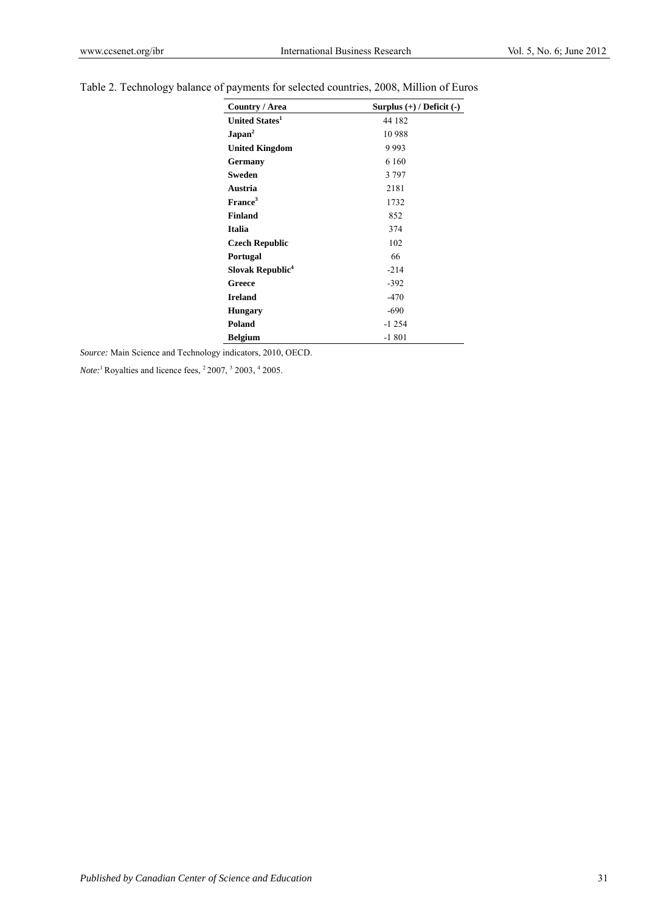| Country / Area               | Surplus $(+)$ / Deficit $(-)$ |
|------------------------------|-------------------------------|
| United States <sup>1</sup>   | 44 182                        |
| $\mathrm{Japan}^2$           | 10 988                        |
| <b>United Kingdom</b>        | 9993                          |
| Germany                      | 6 1 6 0                       |
| <b>Sweden</b>                | 3797                          |
| Austria                      | 2181                          |
| France <sup>3</sup>          | 1732                          |
| <b>Finland</b>               | 852                           |
| Italia                       | 374                           |
| <b>Czech Republic</b>        | 102                           |
| Portugal                     | 66                            |
| Slovak Republic <sup>4</sup> | $-214$                        |
| Greece                       | $-392$                        |
| <b>Ireland</b>               | $-470$                        |
| <b>Hungary</b>               | $-690$                        |
| Poland                       | $-1254$                       |
| <b>Belgium</b>               | $-1801$                       |

# Table 2. Technology balance of payments for selected countries, 2008, Million of Euros

*Source:* Main Science and Technology indicators, 2010, OECD.

*Note*:<sup>1</sup> Royalties and licence fees, <sup>2</sup> 2007, <sup>3</sup> 2003, <sup>4</sup> 2005.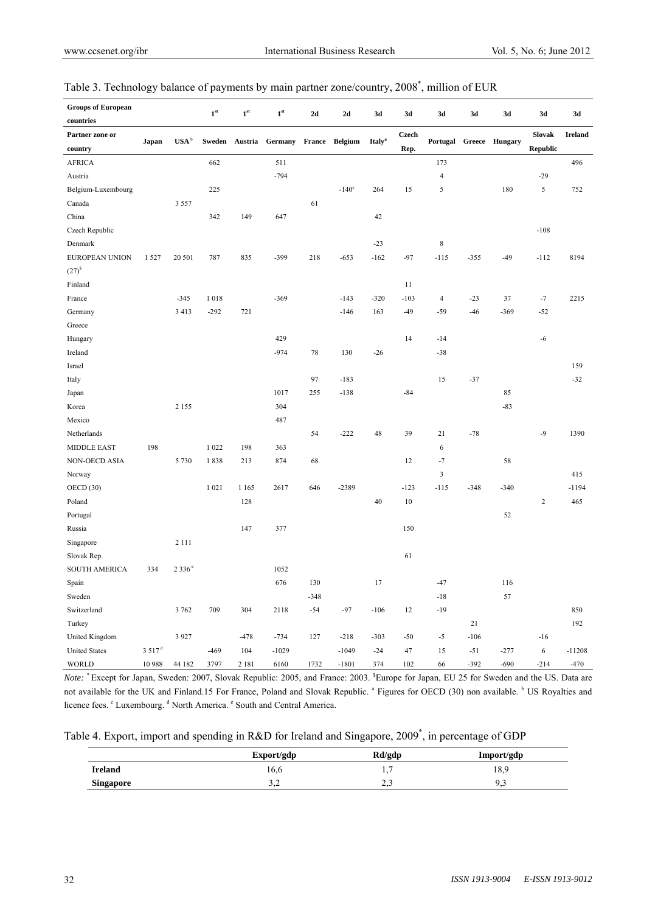| <b>Groups of European</b> |                    |                             | $\mathbf{1}^{\text{st}}$ | 1 <sup>st</sup> | 1 <sup>st</sup> |        |                |                           |        |                         |        |                |                |                |
|---------------------------|--------------------|-----------------------------|--------------------------|-----------------|-----------------|--------|----------------|---------------------------|--------|-------------------------|--------|----------------|----------------|----------------|
| countries                 |                    |                             |                          |                 |                 | 2d     | 2d             | 3d                        | 3d     | 3d                      | 3d     | 3d             | 3d             | 3d             |
| Partner zone or           |                    |                             |                          |                 |                 |        |                |                           | Czech  |                         |        |                | <b>Slovak</b>  | <b>Ireland</b> |
| country                   | Japan              | $\mathbf{USA}^{\mathsf{b}}$ |                          | Sweden Austria  | Germany         | France | <b>Belgium</b> | <b>Italy</b> <sup>a</sup> | Rep.   | Portugal                |        | Greece Hungary | Republic       |                |
| <b>AFRICA</b>             |                    |                             | 662                      |                 | 511             |        |                |                           |        | 173                     |        |                |                | 496            |
| Austria                   |                    |                             |                          |                 | $-794$          |        |                |                           |        | $\overline{4}$          |        |                | $-29$          |                |
| Belgium-Luxembourg        |                    |                             | 225                      |                 |                 |        | $-140^\circ$   | 264                       | 15     | 5                       |        | 180            | 5              | 752            |
| Canada                    |                    | 3 5 5 7                     |                          |                 |                 | 61     |                |                           |        |                         |        |                |                |                |
| China                     |                    |                             | 342                      | 149             | 647             |        |                | 42                        |        |                         |        |                |                |                |
| Czech Republic            |                    |                             |                          |                 |                 |        |                |                           |        |                         |        |                | $-108$         |                |
| Denmark                   |                    |                             |                          |                 |                 |        |                | $-23$                     |        | $\,$ 8 $\,$             |        |                |                |                |
| <b>EUROPEAN UNION</b>     | 1527               | 20 501                      | 787                      | 835             | -399            | 218    | $-653$         | $-162$                    | $-97$  | $-115$                  | $-355$ | $-49$          | $-112$         | 8194           |
| $(27)^{S}$                |                    |                             |                          |                 |                 |        |                |                           |        |                         |        |                |                |                |
| Finland                   |                    |                             |                          |                 |                 |        |                |                           | 11     |                         |        |                |                |                |
| France                    |                    | $-345$                      | 1018                     |                 | $-369$          |        | $-143$         | $-320$                    | $-103$ | $\overline{4}$          | $-23$  | 37             | $-7$           | 2215           |
| Germany                   |                    | 3 4 1 3                     | $-292$                   | 721             |                 |        | $-146$         | 163                       | $-49$  | $-59$                   | $-46$  | $-369$         | $-52$          |                |
| Greece                    |                    |                             |                          |                 |                 |        |                |                           |        |                         |        |                |                |                |
| Hungary                   |                    |                             |                          |                 | 429             |        |                |                           | 14     | $-14$                   |        |                | $-6$           |                |
| Ireland                   |                    |                             |                          |                 | $-974$          | 78     | 130            | $-26$                     |        | $-38$                   |        |                |                |                |
| Israel                    |                    |                             |                          |                 |                 |        |                |                           |        |                         |        |                |                | 159            |
| Italy                     |                    |                             |                          |                 |                 | 97     | $-183$         |                           |        | 15                      | $-37$  |                |                | $-32$          |
| Japan                     |                    |                             |                          |                 | 1017            | 255    | $-138$         |                           | $-84$  |                         |        | 85             |                |                |
| Korea                     |                    | 2 1 5 5                     |                          |                 | 304             |        |                |                           |        |                         |        | $-83$          |                |                |
| Mexico                    |                    |                             |                          |                 | 487             |        |                |                           |        |                         |        |                |                |                |
| Netherlands               |                    |                             |                          |                 |                 | 54     | $-222$         | 48                        | 39     | 21                      | $-78$  |                | $-9$           | 1390           |
| <b>MIDDLE EAST</b>        | 198                |                             | 1 0 2 2                  | 198             | 363             |        |                |                           |        | 6                       |        |                |                |                |
| <b>NON-OECD ASIA</b>      |                    | 5 7 3 0                     | 1838                     | 213             | 874             | 68     |                |                           | 12     | $-7$                    |        | 58             |                |                |
| Norway                    |                    |                             |                          |                 |                 |        |                |                           |        | $\overline{\mathbf{3}}$ |        |                |                | 415            |
| OECD (30)                 |                    |                             | 1 0 2 1                  | 1 1 6 5         | 2617            | 646    | $-2389$        |                           | $-123$ | $-115$                  | $-348$ | $-340$         |                | $-1194$        |
| Poland                    |                    |                             |                          | 128             |                 |        |                | 40                        | 10     |                         |        |                | $\overline{c}$ | 465            |
| Portugal                  |                    |                             |                          |                 |                 |        |                |                           |        |                         |        | 52             |                |                |
| Russia                    |                    |                             |                          | 147             | 377             |        |                |                           | 150    |                         |        |                |                |                |
| Singapore                 |                    | 2 1 1 1                     |                          |                 |                 |        |                |                           |        |                         |        |                |                |                |
| Slovak Rep.               |                    |                             |                          |                 |                 |        |                |                           | 61     |                         |        |                |                |                |
| <b>SOUTH AMERICA</b>      | 334                | 2336°                       |                          |                 | 1052            |        |                |                           |        |                         |        |                |                |                |
| Spain                     |                    |                             |                          |                 | 676             | 130    |                | 17                        |        | $-47$                   |        | 116            |                |                |
| Sweden                    |                    |                             |                          |                 |                 | $-348$ |                |                           |        | $-18$                   |        | 57             |                |                |
| Switzerland               |                    | 3 7 6 2                     | 709                      | 304             | 2118            | $-54$  | $-97$          | $-106$                    | 12     | $-19$                   |        |                |                | 850            |
| Turkey                    |                    |                             |                          |                 |                 |        |                |                           |        |                         | 21     |                |                | 192            |
| United Kingdom            |                    | 3927                        |                          | $-478$          | $-734$          | 127    | $-218$         | $-303$                    | $-50$  | $-5$                    | $-106$ |                | $-16$          |                |
| <b>United States</b>      | 3 517 <sup>d</sup> |                             | $-469$                   | 104             | $-1029$         |        | $-1049$        | $-24$                     | 47     | 15                      | $-51$  | $-277$         | 6              | $-11208$       |
| <b>WORLD</b>              | 10988              | 44 182                      | 3797                     | 2 1 8 1         | 6160            | 1732   | $-1801$        | 374                       | 102    | 66                      | $-392$ | $-690$         | $-214$         | $-470$         |

| Table 3. Technology balance of payments by main partner zone/country, 2008 <sup>*</sup> , million of EUR |  |  |
|----------------------------------------------------------------------------------------------------------|--|--|
|                                                                                                          |  |  |

*Note:* \* Except for Japan, Sweden: 2007, Slovak Republic: 2005, and France: 2003. \$ Europe for Japan, EU 25 for Sweden and the US. Data are not available for the UK and Finland.15 For France, Poland and Slovak Republic. <sup>a</sup> Figures for OECD (30) non available. <sup>b</sup> US Royalties and licence fees. <sup>c</sup> Luxembourg. <sup>d</sup> North America. <sup>e</sup> South and Central America.

|  |  |  |  | Table 4. Export, import and spending in R&D for Ireland and Singapore, 2009 <sup>*</sup> , in percentage of GDP |
|--|--|--|--|-----------------------------------------------------------------------------------------------------------------|
|  |  |  |  |                                                                                                                 |

|                  | Export/gdp | Rd/gdp               | Import/gdp |
|------------------|------------|----------------------|------------|
| <b>Ireland</b>   | 16,6       | . .                  | 18,9       |
| <b>Singapore</b> | ے ۔        | $\sim$<br><u> 2.</u> | ۔۔ ۔       |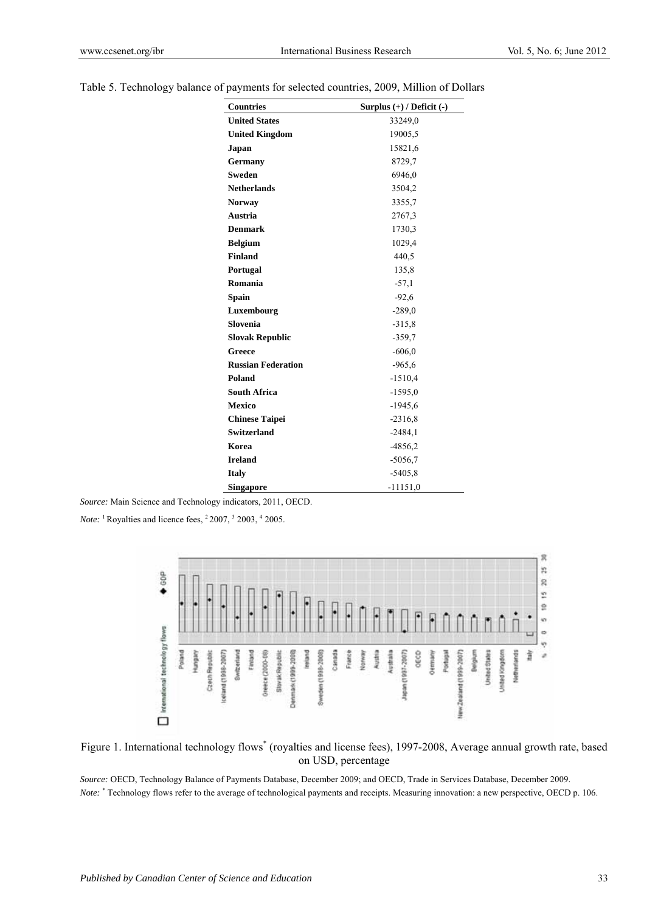| <b>Countries</b>          | Surplus $(+)$ / Deficit $(-)$ |
|---------------------------|-------------------------------|
| <b>United States</b>      | 33249,0                       |
| <b>United Kingdom</b>     | 19005,5                       |
| Japan                     | 15821,6                       |
| Germany                   | 8729,7                        |
| <b>Sweden</b>             | 6946,0                        |
| <b>Netherlands</b>        | 3504,2                        |
| <b>Norway</b>             | 3355,7                        |
| <b>Austria</b>            | 2767,3                        |
| <b>Denmark</b>            | 1730,3                        |
| <b>Belgium</b>            | 1029,4                        |
| <b>Finland</b>            | 440,5                         |
| Portugal                  | 135,8                         |
| Romania                   | $-57.1$                       |
| Spain                     | $-92,6$                       |
| Luxembourg                | $-289,0$                      |
| Slovenia                  | $-315.8$                      |
| <b>Slovak Republic</b>    | $-359.7$                      |
| Greece                    | $-606,0$                      |
| <b>Russian Federation</b> | $-965,6$                      |
| Poland                    | $-1510,4$                     |
| <b>South Africa</b>       | $-1595.0$                     |
| <b>Mexico</b>             | $-1945,6$                     |
| <b>Chinese Taipei</b>     | $-2316.8$                     |
| <b>Switzerland</b>        | $-2484.1$                     |
| Korea                     | $-4856,2$                     |
| <b>Ireland</b>            | $-5056,7$                     |
| <b>Italy</b>              | $-5405,8$                     |
| <b>Singapore</b>          | $-11151,0$                    |

#### Table 5. Technology balance of payments for selected countries, 2009, Million of Dollars

*Source:* Main Science and Technology indicators, 2011, OECD.

*Note:* <sup>1</sup> Royalties and licence fees, <sup>2</sup> 2007, <sup>3</sup> 2003, <sup>4</sup> 2005.





*Source:* OECD, Technology Balance of Payments Database, December 2009; and OECD, Trade in Services Database, December 2009. *Note:* \* Technology flows refer to the average of technological payments and receipts. Measuring innovation: a new perspective, OECD p. 106.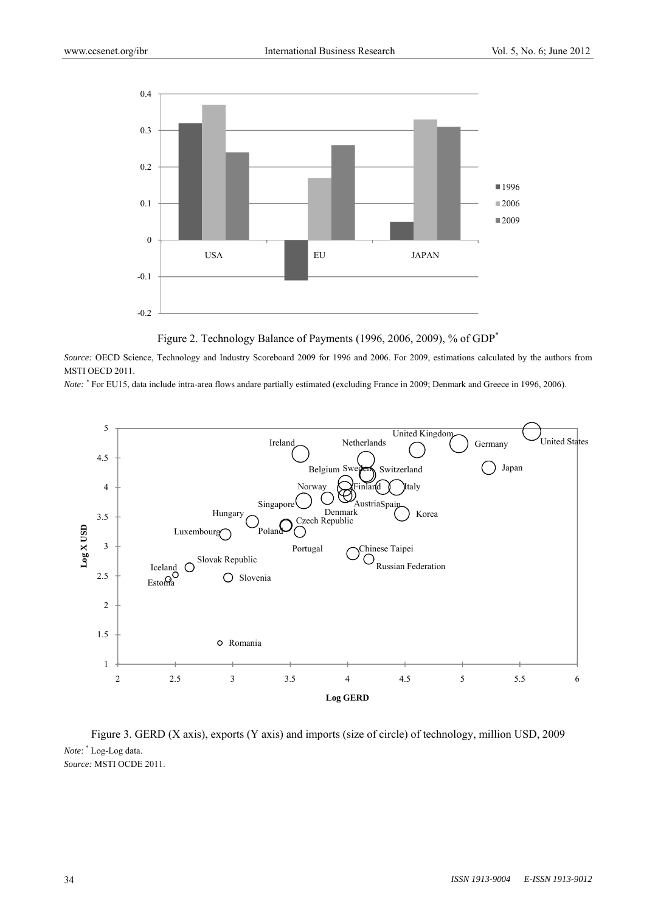

Figure 2. Technology Balance of Payments (1996, 2006, 2009), % of GDP<sup>\*</sup>

*Source:* OECD Science, Technology and Industry Scoreboard 2009 for 1996 and 2006. For 2009, estimations calculated by the authors from MSTI OECD 2011.

*Note:* \* For EU15, data include intra-area flows andare partially estimated (excluding France in 2009; Denmark and Greece in 1996, 2006).



Figure 3. GERD (X axis), exports (Y axis) and imports (size of circle) of technology, million USD, 2009 *Note*: \* Log-Log data. *Source:* MSTI OCDE 2011.